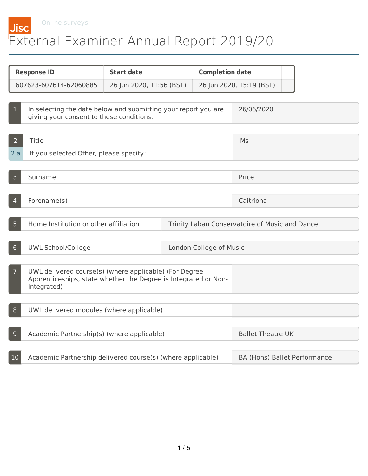Online surveys

## **Jisc** External Examiner Annual Report 2019/20

| <b>Response ID</b> |                                                                                                                                          | <b>Start date</b>        |            | <b>Completion date</b>   |                                                |
|--------------------|------------------------------------------------------------------------------------------------------------------------------------------|--------------------------|------------|--------------------------|------------------------------------------------|
|                    | 607623-607614-62060885                                                                                                                   | 26 Jun 2020, 11:56 (BST) |            | 26 Jun 2020, 15:19 (BST) |                                                |
|                    |                                                                                                                                          |                          |            |                          |                                                |
| 1                  | In selecting the date below and submitting your report you are<br>giving your consent to these conditions.                               |                          | 26/06/2020 |                          |                                                |
|                    |                                                                                                                                          |                          |            |                          |                                                |
| $\overline{2}$     | Title                                                                                                                                    |                          |            | Ms                       |                                                |
| 2.a                | If you selected Other, please specify:                                                                                                   |                          |            |                          |                                                |
|                    |                                                                                                                                          |                          |            |                          |                                                |
| $\overline{3}$     | Surname                                                                                                                                  |                          |            |                          | Price                                          |
|                    |                                                                                                                                          |                          |            |                          |                                                |
| 4                  | Forename(s)                                                                                                                              |                          |            |                          | Caitríona                                      |
|                    |                                                                                                                                          |                          |            |                          |                                                |
| 5 <sup>1</sup>     | Home Institution or other affiliation                                                                                                    |                          |            |                          | Trinity Laban Conservatoire of Music and Dance |
|                    |                                                                                                                                          |                          |            |                          |                                                |
| 6                  | <b>UWL School/College</b><br>London College of Music                                                                                     |                          |            |                          |                                                |
| $\overline{7}$     | UWL delivered course(s) (where applicable) (For Degree<br>Apprenticeships, state whether the Degree is Integrated or Non-<br>Integrated) |                          |            |                          |                                                |
| 8                  | UWL delivered modules (where applicable)                                                                                                 |                          |            |                          |                                                |
|                    |                                                                                                                                          |                          |            |                          |                                                |
| 9                  | Academic Partnership(s) (where applicable)                                                                                               |                          |            | <b>Ballet Theatre UK</b> |                                                |
|                    |                                                                                                                                          |                          |            |                          |                                                |
| 10                 | Academic Partnership delivered course(s) (where applicable)                                                                              |                          |            |                          | BA (Hons) Ballet Performance                   |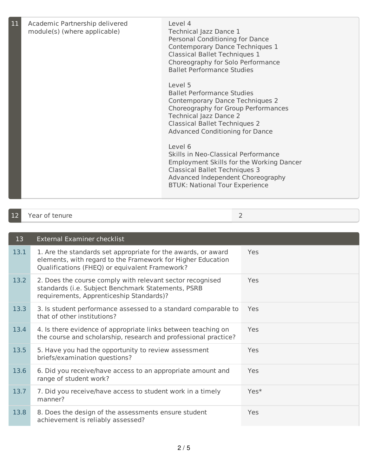| 11 | Academic Partnership delivered<br>module(s) (where applicable) | Level 4<br>Technical Jazz Dance 1<br>Personal Conditioning for Dance<br>Contemporary Dance Techniques 1<br><b>Classical Ballet Techniques 1</b><br>Choreography for Solo Performance<br><b>Ballet Performance Studies</b><br>Level 5<br><b>Ballet Performance Studies</b><br>Contemporary Dance Techniques 2<br>Choreography for Group Performances<br><b>Technical Jazz Dance 2</b><br><b>Classical Ballet Techniques 2</b><br><b>Advanced Conditioning for Dance</b><br>Level 6<br>Skills in Neo-Classical Performance<br>Employment Skills for the Working Dancer<br><b>Classical Ballet Techniques 3</b><br>Advanced Independent Choreography<br><b>BTUK: National Tour Experience</b> |
|----|----------------------------------------------------------------|--------------------------------------------------------------------------------------------------------------------------------------------------------------------------------------------------------------------------------------------------------------------------------------------------------------------------------------------------------------------------------------------------------------------------------------------------------------------------------------------------------------------------------------------------------------------------------------------------------------------------------------------------------------------------------------------|
|    |                                                                |                                                                                                                                                                                                                                                                                                                                                                                                                                                                                                                                                                                                                                                                                            |

| 12 | <b>Year of</b> i<br>TAN II IA |  |
|----|-------------------------------|--|

| 13   | <b>External Examiner checklist</b>                                                                                                                                             |      |
|------|--------------------------------------------------------------------------------------------------------------------------------------------------------------------------------|------|
| 13.1 | 1. Are the standards set appropriate for the awards, or award<br>elements, with regard to the Framework for Higher Education<br>Qualifications (FHEQ) or equivalent Framework? | Yes  |
| 13.2 | 2. Does the course comply with relevant sector recognised<br>standards (i.e. Subject Benchmark Statements, PSRB<br>requirements, Apprenticeship Standards)?                    | Yes  |
| 13.3 | 3. Is student performance assessed to a standard comparable to<br>that of other institutions?                                                                                  | Yes  |
| 13.4 | 4. Is there evidence of appropriate links between teaching on<br>the course and scholarship, research and professional practice?                                               | Yes  |
| 13.5 | 5. Have you had the opportunity to review assessment<br>briefs/examination questions?                                                                                          | Yes  |
| 13.6 | 6. Did you receive/have access to an appropriate amount and<br>range of student work?                                                                                          | Yes  |
| 13.7 | 7. Did you receive/have access to student work in a timely<br>manner?                                                                                                          | Yes* |
| 13.8 | 8. Does the design of the assessments ensure student<br>achievement is reliably assessed?                                                                                      | Yes  |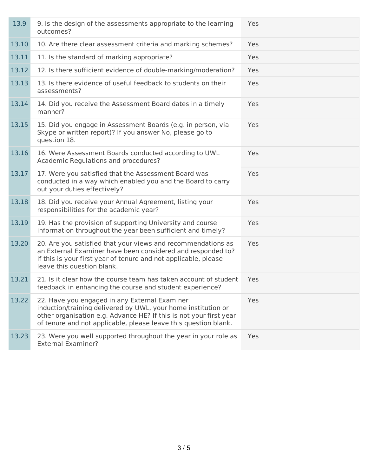| 13.9  | 9. Is the design of the assessments appropriate to the learning<br>outcomes?                                                                                                                                                                            | Yes |
|-------|---------------------------------------------------------------------------------------------------------------------------------------------------------------------------------------------------------------------------------------------------------|-----|
| 13.10 | 10. Are there clear assessment criteria and marking schemes?                                                                                                                                                                                            | Yes |
| 13.11 | 11. Is the standard of marking appropriate?                                                                                                                                                                                                             | Yes |
| 13.12 | 12. Is there sufficient evidence of double-marking/moderation?                                                                                                                                                                                          | Yes |
| 13.13 | 13. Is there evidence of useful feedback to students on their<br>assessments?                                                                                                                                                                           | Yes |
| 13.14 | 14. Did you receive the Assessment Board dates in a timely<br>manner?                                                                                                                                                                                   | Yes |
| 13.15 | 15. Did you engage in Assessment Boards (e.g. in person, via<br>Skype or written report)? If you answer No, please go to<br>question 18.                                                                                                                | Yes |
| 13.16 | 16. Were Assessment Boards conducted according to UWL<br>Academic Regulations and procedures?                                                                                                                                                           | Yes |
| 13.17 | 17. Were you satisfied that the Assessment Board was<br>conducted in a way which enabled you and the Board to carry<br>out your duties effectively?                                                                                                     | Yes |
| 13.18 | 18. Did you receive your Annual Agreement, listing your<br>responsibilities for the academic year?                                                                                                                                                      | Yes |
| 13.19 | 19. Has the provision of supporting University and course<br>information throughout the year been sufficient and timely?                                                                                                                                | Yes |
| 13.20 | 20. Are you satisfied that your views and recommendations as<br>an External Examiner have been considered and responded to?<br>If this is your first year of tenure and not applicable, please<br>leave this question blank.                            | Yes |
| 13.21 | 21. Is it clear how the course team has taken account of student<br>feedback in enhancing the course and student experience?                                                                                                                            | Yes |
| 13.22 | 22. Have you engaged in any External Examiner<br>induction/training delivered by UWL, your home institution or<br>other organisation e.g. Advance HE? If this is not your first year<br>of tenure and not applicable, please leave this question blank. | Yes |
| 13.23 | 23. Were you well supported throughout the year in your role as<br><b>External Examiner?</b>                                                                                                                                                            | Yes |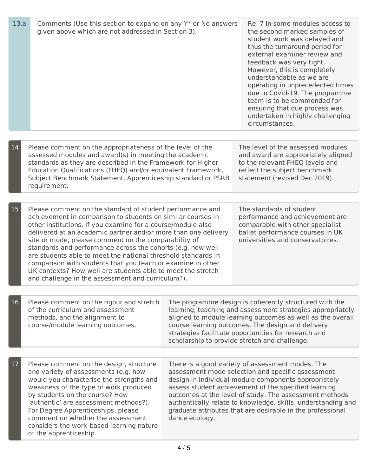| 13.a | Comments (Use this section to expand on any Y* or No answers<br>given above which are not addressed in Section 3).                                                                                                                                                                                                                                                                                                                                                                                                                                                                                                                   | Re: 7 In some modules access to<br>the second marked samples of<br>student work was delayed and<br>thus the turnaround period for<br>external examiner review and<br>feedback was very tight.<br>However, this is completely<br>understandable as we are<br>operating in unprecedented times<br>due to Covid-19. The programme<br>team is to be commended for<br>ensuring that due process was<br>undertaken in highly challenging<br>circumstances. |                                                                                                                                                                                                                                                                                                                                                  |  |
|------|--------------------------------------------------------------------------------------------------------------------------------------------------------------------------------------------------------------------------------------------------------------------------------------------------------------------------------------------------------------------------------------------------------------------------------------------------------------------------------------------------------------------------------------------------------------------------------------------------------------------------------------|------------------------------------------------------------------------------------------------------------------------------------------------------------------------------------------------------------------------------------------------------------------------------------------------------------------------------------------------------------------------------------------------------------------------------------------------------|--------------------------------------------------------------------------------------------------------------------------------------------------------------------------------------------------------------------------------------------------------------------------------------------------------------------------------------------------|--|
|      |                                                                                                                                                                                                                                                                                                                                                                                                                                                                                                                                                                                                                                      |                                                                                                                                                                                                                                                                                                                                                                                                                                                      |                                                                                                                                                                                                                                                                                                                                                  |  |
| 14   | Please comment on the appropriateness of the level of the<br>assessed modules and award(s) in meeting the academic<br>standards as they are described in the Framework for Higher<br>Education Qualifications (FHEQ) and/or equivalent Framework,<br>Subject Benchmark Statement, Apprenticeship standard or PSRB<br>requirement.                                                                                                                                                                                                                                                                                                    |                                                                                                                                                                                                                                                                                                                                                                                                                                                      | The level of the assessed modules<br>and award are appropriately aligned<br>to the relevant FHEQ levels and<br>reflect the subject benchmark<br>statement (revised Dec 2019).                                                                                                                                                                    |  |
|      |                                                                                                                                                                                                                                                                                                                                                                                                                                                                                                                                                                                                                                      |                                                                                                                                                                                                                                                                                                                                                                                                                                                      |                                                                                                                                                                                                                                                                                                                                                  |  |
| 15   | Please comment on the standard of student performance and<br>achievement in comparison to students on similar courses in<br>other institutions. If you examine for a course/module also<br>delivered at an academic partner and/or more than one delivery<br>site or mode, please comment on the comparability of<br>standards and performance across the cohorts (e.g. how well<br>are students able to meet the national threshold standards in<br>comparison with students that you teach or examine in other<br>UK contexts? How well are students able to meet the stretch<br>and challenge in the assessment and curriculum?). |                                                                                                                                                                                                                                                                                                                                                                                                                                                      | The standards of student<br>performance and achievement are<br>comparable with other specialist<br>ballet performance courses in UK<br>universities and conservatoires.                                                                                                                                                                          |  |
|      |                                                                                                                                                                                                                                                                                                                                                                                                                                                                                                                                                                                                                                      |                                                                                                                                                                                                                                                                                                                                                                                                                                                      |                                                                                                                                                                                                                                                                                                                                                  |  |
| 16   | Please comment on the rigour and stretch<br>of the curriculum and assessment<br>methods, and the alignment to<br>course/module learning outcomes.                                                                                                                                                                                                                                                                                                                                                                                                                                                                                    |                                                                                                                                                                                                                                                                                                                                                                                                                                                      | The programme design is coherently structured with the<br>learning, teaching and assessment strategies appropriately<br>aligned to module learning outcomes as well as the overall<br>course learning outcomes. The design and delivery<br>strategies facilitate opportunities for research and<br>scholarship to provide stretch and challenge. |  |
|      |                                                                                                                                                                                                                                                                                                                                                                                                                                                                                                                                                                                                                                      |                                                                                                                                                                                                                                                                                                                                                                                                                                                      |                                                                                                                                                                                                                                                                                                                                                  |  |
| 17   | Please comment on the design, structure<br>and variety of assessments (e.g. how<br>would you characterise the strengths and<br>weakness of the type of work produced<br>by students on the course? How<br>'authentic' are assessment methods?).<br>For Degree Apprenticeships, please<br>comment on whether the assessment<br>considers the work-based learning nature<br>of the apprenticeship.                                                                                                                                                                                                                                     | There is a good variety of assessment modes. The<br>assessment mode selection and specific assessment<br>design in individual module components appropriately<br>assess student achievement of the specified learning<br>outcomes at the level of study. The assessment methods<br>authentically relate to knowledge, skills, understanding and<br>graduate attributes that are desirable in the professional<br>dance ecology.                      |                                                                                                                                                                                                                                                                                                                                                  |  |